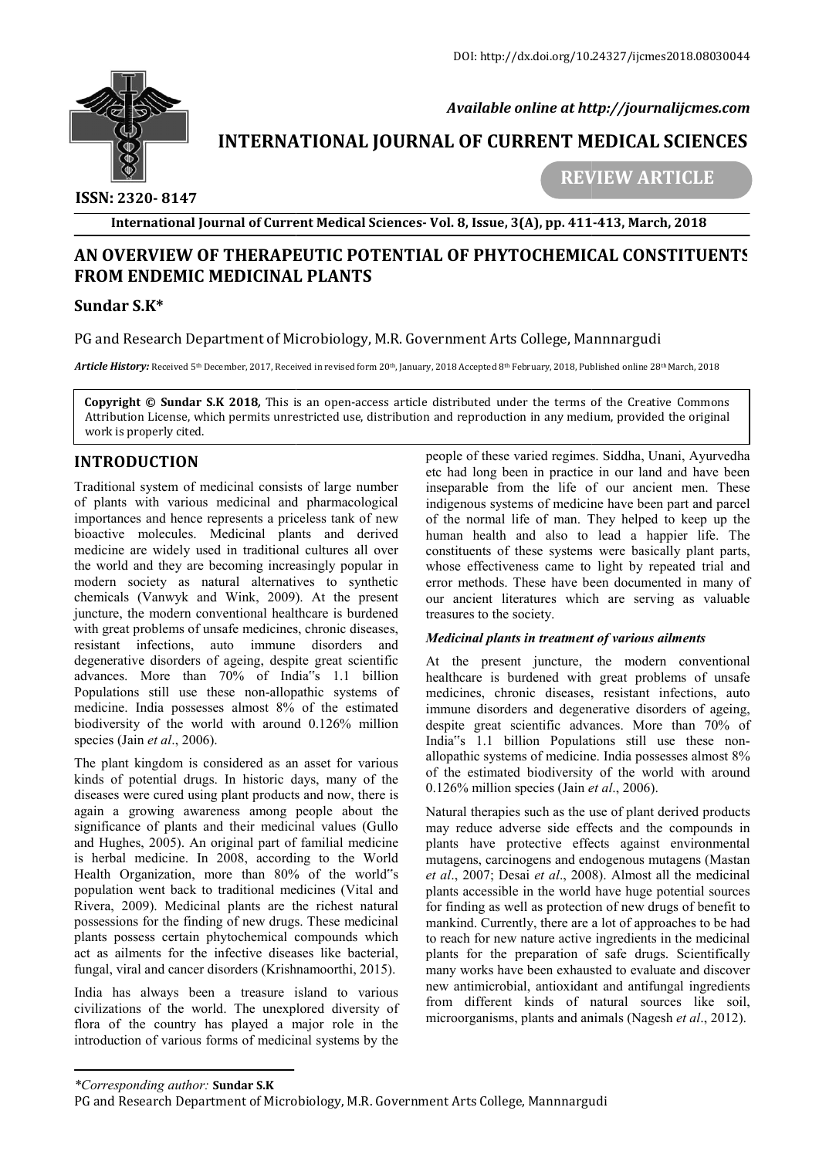

 *Available online at http://journalijcmes.com*

# **INTERNATIONAL JOURNAL OF CURRENT MEDICAL SCIENCES**<br>REVIEW ARTICLE

 **ISSN: 2320- 8147**

 **REVIEW**

**International Journal of Current Medical Sciences Sciences- Vol. 8, Issue, 3(A), pp. 411 411-413, March, 2018**

## **AN OVERVIEW OF THERAPEUTIC POTENTIAL OF PHYTOCHEMICAL CONSTITUENTS FROM ENDEMIC MEDICINAL PLANTS**

### **Sundar S.K\***

PG and Research Department of Microbiology, M.R. Government Arts College, Mannnargudi

 $\bm{Article History:}$  Received 5th December, 2017, Received in revised form 20th, January, 2018 Accepted 8th February, 2018, Published online 28

**Copyright © Sundar S.K 2018**, This is an open-access article distributed under the terms of the Creative Commons Attribution License, which permits unrestricted use, distribution and reproduction in any medium, provided the original work is properly cited. r Received 5th December, 2017, Received in revised form 20th, January, 2018 Accepted 8th February, 2018, Published online 28th March, 2018<br>Compared State Common State License, and The Creative Common Directors of the Creat

## **INTRODUCTION**

Traditional system of medicinal consists of large number of plants with various medicinal and pharmacological importances and hence represents a priceless tank of new bioactive molecules. Medicinal plants and derived medicine are widely used in traditional cultures all over the world and they are becoming increasingly popular in modern society as natural alternatives to synthetic chemicals (Vanwyk and Wink, 2009). At the present juncture, the modern conventional healthcare is burdened with great problems of unsafe medicines, chronic diseases, resistant infections, auto immune disorders and degenerative disorders of ageing, despite great scientific advances. More than 70% of India<sup>r'</sup>s 1.1 billion Populations still use these non-allopathic systems of medicine. India possesses almost 8% of the estimated biodiversity of the world with around 0.126% million species (Jain *et al*., 2006). **DDUCTION**<br> **DDUCTION**<br> **EVERONAL UNER CONFERENT SIGNES (THE SECT AND THE SECT AND THE SECT AND THE SECT AND INTERFERENT ARE SIGNED AND LINEAR THE SECT ARE CONFERENT THE CONFERENT ARE CONFERENT ARE CONFERENT OF THE SECT A** 

The plant kingdom is considered as an asset for various kinds of potential drugs. In historic days, many of the diseases were cured using plant products and now, there is again a growing awareness among people about the significance of plants and their medicinal values (Gullo and Hughes, 2005). An original part of familial medicine is herbal medicine. In 2008, according to the World Health Organization, more than 80% of the world"s population went back to traditional medicines (Vital and Rivera, 2009). Medicinal plants are the richest natural possessions for the finding of new drugs. These medicinal plants possess certain phytochemical compounds which act as ailments for the infective diseases like bacterial, fungal, viral and cancer disorders (Krishnamoorthi, 2015). by pulations still use these non-allopathic systems of edicine. India possesses almost 8% of the estimated odiversity of the world with around 0.126% million becies (Jain *et al.*, 2006). The plant kingdom is considered as

India has always been a treasure island to various civilizations of the world. The unexplored diversity of flora of the country has played a major role in the introduction of various forms of medicinal systems by the people of these varied regimes. Siddha, Unani, Ayurvedha etc had long been in practice in our land and have been inseparable from the life of our ancient men. indigenous systems of medicine have been part and parcel of the normal life of man. They helped to keep up the human health and also to lead a happier life. The constituents of these systems were basically plant parts, whose effectiveness came to light by repeated trial and error methods. These have been documented in many of error methods. These have been documented in many of our ancient literatures which are serving as valuable treasures to the society. systems of medicine have been part and parcel<br>nal life of man. They helped to keep up the<br>lith and also to lead a happier life. The<br>is of these systems were basically plant parts,<br>ctiveness came to light by repeated trial

#### *Medicinal plants in treatment of various ailments*

At the present juncture, the modern conventional healthcare is burdened with great problems of unsafe medicines, chronic diseases, resistant infections, auto immune disorders and degenerative disorders of ageing, despite great scientific advances. More than 70% of India"s 1.1 billion Populations still use these nonallopathic systems of medicine. India possesses almost 8% allopathic systems of medicine. India possesses almost 8% of the estimated biodiversity of the world with around 0.126% million species (Jain *et al et al*., 2006). the present juncture, the modern conventional<br>hcare is burdened with great problems of unsafe<br>cines, chronic diseases, resistant infections, auto<br>une disorders and degenerative disorders of ageing,<br>ite great scientific adv

Natural therapies such as the use of plant derived products may reduce adverse side effects and the compounds in plants have protective effects against environmental mutagens, carcinogens and endogenous mutagens (Mastan *et al*., 2007; Desai *et al*., 2008). Almost all the medicinal plants accessible in the world have huge potential sources for finding as well as protection of new drugs of benefit to mankind. Currently, there are a lot of approaches to be had to reach for new nature active ingredients in the medicinal mankind. Currently, there are a lot of approaches to be had<br>to reach for new nature active ingredients in the medicinal<br>plants for the preparation of safe drugs. Scientifically many works have been exhausted to evaluate and discover new antimicrobial, antioxidant and antifungal ingredients from different kinds of natural sources like soil, microorganisms, plants and animals (Nagesh *et al*., 2012). e protective effects against environmental carcinogens and endogenous mutagens (Mastan '; Desai *et al.*, 2008). Almost all the medicinal ssible in the world have huge potential sources as well as protection of new drugs o

*<sup>\*</sup>Corresponding author:* **Sundar S.K**

PG and Research Department of Microbiology, M.R. Government Arts College, Mannnargudi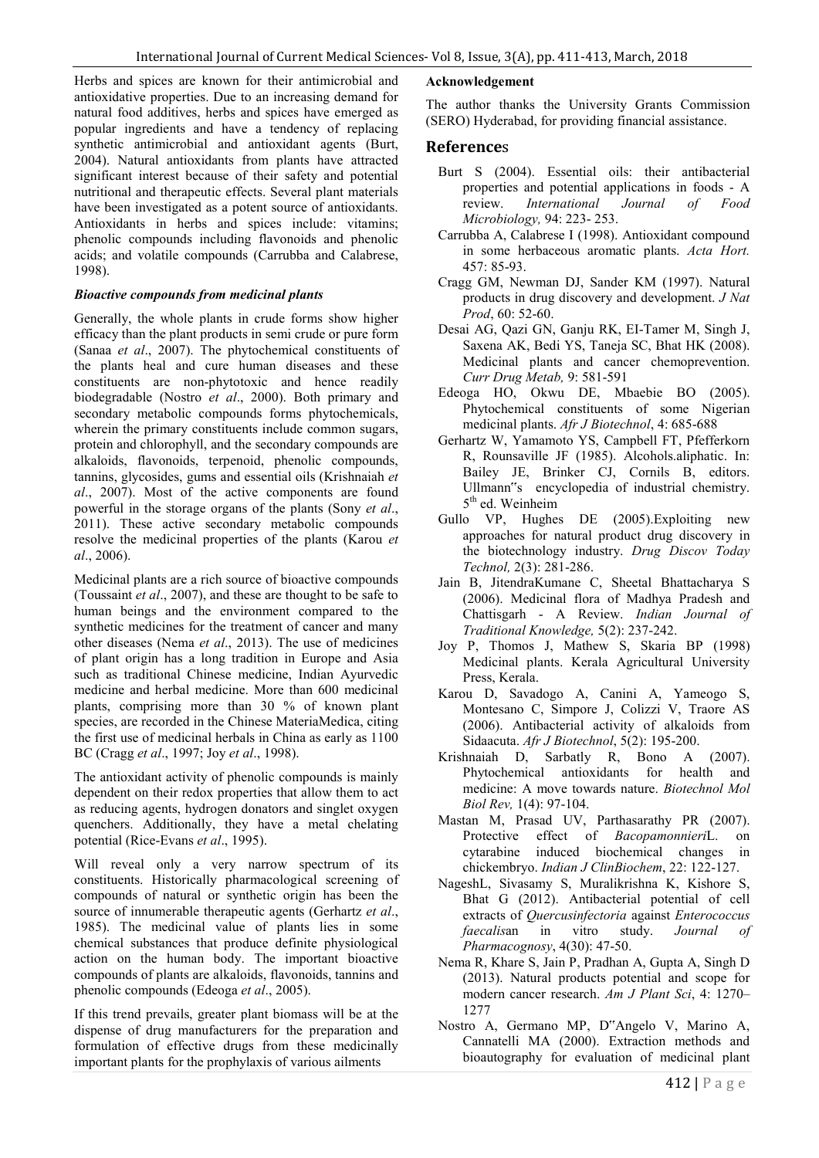Herbs and spices are known for their antimicrobial and antioxidative properties. Due to an increasing demand for natural food additives, herbs and spices have emerged as popular ingredients and have a tendency of replacing synthetic antimicrobial and antioxidant agents (Burt, 2004). Natural antioxidants from plants have attracted significant interest because of their safety and potential nutritional and therapeutic effects. Several plant materials have been investigated as a potent source of antioxidants. Antioxidants in herbs and spices include: vitamins; phenolic compounds including flavonoids and phenolic acids; and volatile compounds (Carrubba and Calabrese, 1998).

#### *Bioactive compounds from medicinal plants*

Generally, the whole plants in crude forms show higher efficacy than the plant products in semi crude or pure form (Sanaa *et al*., 2007). The phytochemical constituents of the plants heal and cure human diseases and these constituents are non-phytotoxic and hence readily biodegradable (Nostro *et al*., 2000). Both primary and secondary metabolic compounds forms phytochemicals, wherein the primary constituents include common sugars, protein and chlorophyll, and the secondary compounds are alkaloids, flavonoids, terpenoid, phenolic compounds, tannins, glycosides, gums and essential oils (Krishnaiah *et al*., 2007). Most of the active components are found powerful in the storage organs of the plants (Sony *et al*., 2011). These active secondary metabolic compounds resolve the medicinal properties of the plants (Karou *et al*., 2006).

Medicinal plants are a rich source of bioactive compounds (Toussaint *et al*., 2007), and these are thought to be safe to human beings and the environment compared to the synthetic medicines for the treatment of cancer and many other diseases (Nema *et al*., 2013). The use of medicines of plant origin has a long tradition in Europe and Asia such as traditional Chinese medicine, Indian Ayurvedic medicine and herbal medicine. More than 600 medicinal plants, comprising more than 30 % of known plant species, are recorded in the Chinese MateriaMedica, citing the first use of medicinal herbals in China as early as 1100 BC (Cragg *et al*., 1997; Joy *et al*., 1998).

The antioxidant activity of phenolic compounds is mainly dependent on their redox properties that allow them to act as reducing agents, hydrogen donators and singlet oxygen quenchers. Additionally, they have a metal chelating potential (Rice-Evans *et al*., 1995).

Will reveal only a very narrow spectrum of its constituents. Historically pharmacological screening of compounds of natural or synthetic origin has been the source of innumerable therapeutic agents (Gerhartz *et al*., 1985). The medicinal value of plants lies in some chemical substances that produce definite physiological action on the human body. The important bioactive compounds of plants are alkaloids, flavonoids, tannins and phenolic compounds (Edeoga *et al*., 2005).

If this trend prevails, greater plant biomass will be at the dispense of drug manufacturers for the preparation and formulation of effective drugs from these medicinally important plants for the prophylaxis of various ailments

#### **Acknowledgement**

The author thanks the University Grants Commission (SERO) Hyderabad, for providing financial assistance.

#### **Reference**s

- Burt S (2004). Essential oils: their antibacterial properties and potential applications in foods - A review. *International Journal of Food Microbiology,* 94: 223- 253.
- Carrubba A, Calabrese I (1998). Antioxidant compound in some herbaceous aromatic plants. *Acta Hort.* 457: 85-93.
- Cragg GM, Newman DJ, Sander KM (1997). Natural products in drug discovery and development. *J Nat Prod*, 60: 52-60.
- Desai AG, Qazi GN, Ganju RK, EI-Tamer M, Singh J, Saxena AK, Bedi YS, Taneja SC, Bhat HK (2008). Medicinal plants and cancer chemoprevention. *Curr Drug Metab,* 9: 581-591
- Edeoga HO, Okwu DE, Mbaebie BO (2005). Phytochemical constituents of some Nigerian medicinal plants. *Afr J Biotechnol*, 4: 685-688
- Gerhartz W, Yamamoto YS, Campbell FT, Pfefferkorn R, Rounsaville JF (1985). Alcohols.aliphatic. In: Bailey JE, Brinker CJ, Cornils B, editors. Ullmann"s encyclopedia of industrial chemistry. 5<sup>th</sup> ed. Weinheim
- Gullo VP, Hughes DE (2005).Exploiting new approaches for natural product drug discovery in the biotechnology industry. *Drug Discov Today Technol,* 2(3): 281-286.
- Jain B, JitendraKumane C, Sheetal Bhattacharya S (2006). Medicinal flora of Madhya Pradesh and Chattisgarh - A Review. *Indian Journal of Traditional Knowledge,* 5(2): 237-242.
- Joy P, Thomos J, Mathew S, Skaria BP (1998) Medicinal plants. Kerala Agricultural University Press, Kerala.
- Karou D, Savadogo A, Canini A, Yameogo S, Montesano C, Simpore J, Colizzi V, Traore AS (2006). Antibacterial activity of alkaloids from Sidaacuta. *Afr J Biotechnol*, 5(2): 195-200.
- Krishnaiah D, Sarbatly R, Bono A (2007). Phytochemical antioxidants for health and medicine: A move towards nature. *Biotechnol Mol Biol Rev,* 1(4): 97-104.
- Mastan M, Prasad UV, Parthasarathy PR (2007). Protective effect of *Bacopamonnieri*L. on cytarabine induced biochemical changes in chickembryo. *Indian J ClinBiochem*, 22: 122-127.
- NageshL, Sivasamy S, Muralikrishna K, Kishore S, Bhat G (2012). Antibacterial potential of cell extracts of *Quercusinfectoria* against *Enterococcus faecalis*an in vitro study. *Journal of Pharmacognosy*, 4(30): 47-50.
- Nema R, Khare S, Jain P, Pradhan A, Gupta A, Singh D (2013). Natural products potential and scope for modern cancer research. *Am J Plant Sci*, 4: 1270– 1277
- Nostro A, Germano MP, D"Angelo V, Marino A, Cannatelli MA (2000). Extraction methods and bioautography for evaluation of medicinal plant